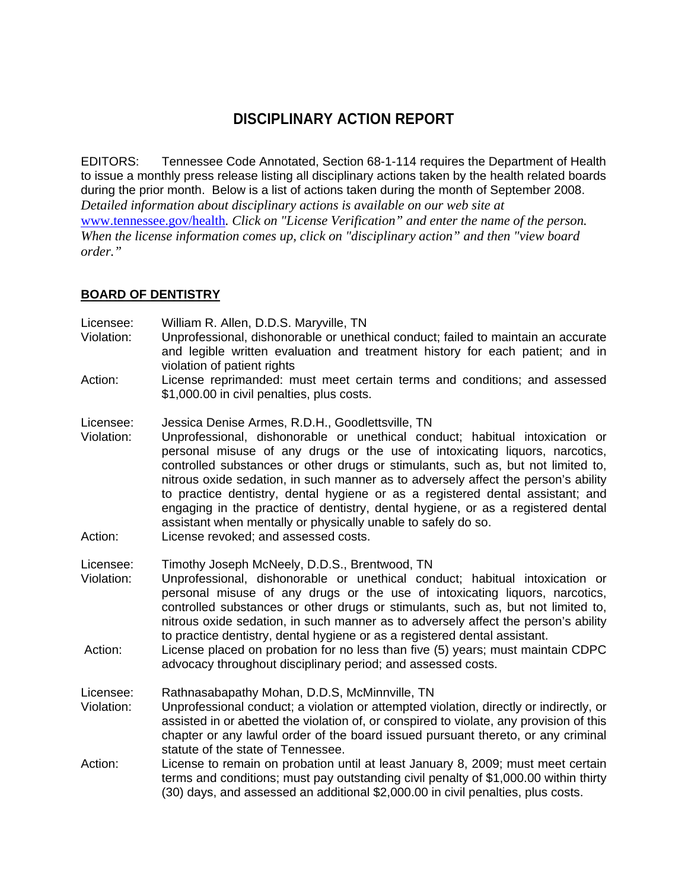# **DISCIPLINARY ACTION REPORT**

EDITORS: Tennessee Code Annotated, Section 68-1-114 requires the Department of Health to issue a monthly press release listing all disciplinary actions taken by the health related boards during the prior month. Below is a list of actions taken during the month of September 2008. *Detailed information about disciplinary actions is available on our web site at* 

www.tennessee.gov/health*. Click on "License Verification" and enter the name of the person. When the license information comes up, click on "disciplinary action" and then "view board order."* 

#### **BOARD OF DENTISTRY**

Licensee: William R. Allen, D.D.S. Maryville, TN

- Violation: Unprofessional, dishonorable or unethical conduct; failed to maintain an accurate and legible written evaluation and treatment history for each patient; and in violation of patient rights
- Action: License reprimanded: must meet certain terms and conditions; and assessed \$1,000.00 in civil penalties, plus costs.
- Licensee: Jessica Denise Armes, R.D.H., Goodlettsville, TN
- Violation: Unprofessional, dishonorable or unethical conduct; habitual intoxication or personal misuse of any drugs or the use of intoxicating liquors, narcotics, controlled substances or other drugs or stimulants, such as, but not limited to, nitrous oxide sedation, in such manner as to adversely affect the person's ability to practice dentistry, dental hygiene or as a registered dental assistant; and engaging in the practice of dentistry, dental hygiene, or as a registered dental assistant when mentally or physically unable to safely do so.
- Action: License revoked; and assessed costs.

Licensee: Timothy Joseph McNeely, D.D.S., Brentwood, TN

- Violation: Unprofessional, dishonorable or unethical conduct; habitual intoxication or personal misuse of any drugs or the use of intoxicating liquors, narcotics, controlled substances or other drugs or stimulants, such as, but not limited to, nitrous oxide sedation, in such manner as to adversely affect the person's ability to practice dentistry, dental hygiene or as a registered dental assistant.
- Action: License placed on probation for no less than five (5) years; must maintain CDPC advocacy throughout disciplinary period; and assessed costs.

Licensee: Rathnasabapathy Mohan, D.D.S, McMinnville, TN

- Violation: Unprofessional conduct; a violation or attempted violation, directly or indirectly, or assisted in or abetted the violation of, or conspired to violate, any provision of this chapter or any lawful order of the board issued pursuant thereto, or any criminal statute of the state of Tennessee.
- Action: License to remain on probation until at least January 8, 2009; must meet certain terms and conditions; must pay outstanding civil penalty of \$1,000.00 within thirty (30) days, and assessed an additional \$2,000.00 in civil penalties, plus costs.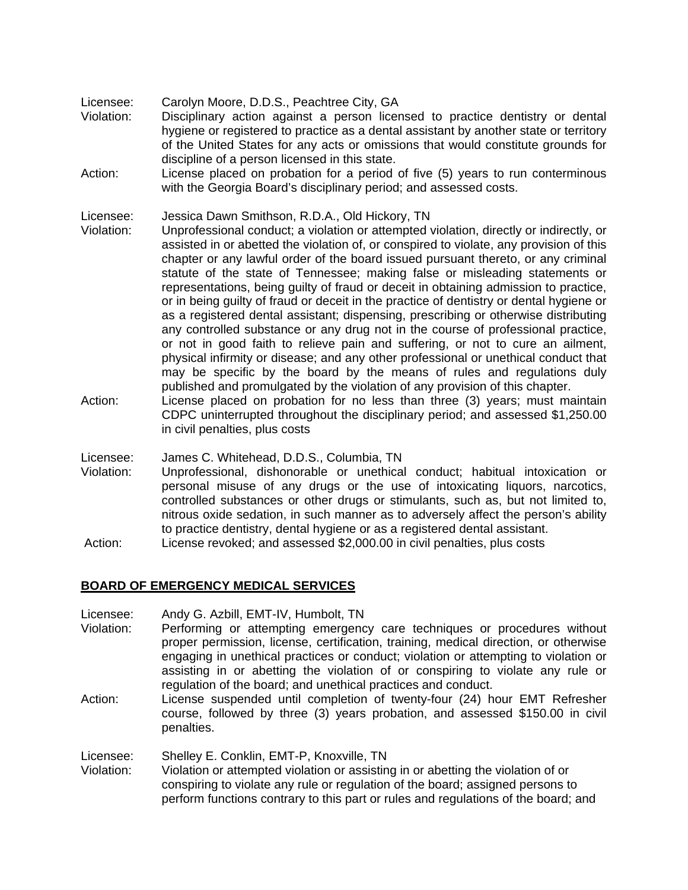- Licensee: Carolyn Moore, D.D.S., Peachtree City, GA
- Violation: Disciplinary action against a person licensed to practice dentistry or dental hygiene or registered to practice as a dental assistant by another state or territory of the United States for any acts or omissions that would constitute grounds for discipline of a person licensed in this state.
- Action: License placed on probation for a period of five (5) years to run conterminous with the Georgia Board's disciplinary period; and assessed costs.

Licensee: Jessica Dawn Smithson, R.D.A., Old Hickory, TN

- Violation: Unprofessional conduct; a violation or attempted violation, directly or indirectly, or assisted in or abetted the violation of, or conspired to violate, any provision of this chapter or any lawful order of the board issued pursuant thereto, or any criminal statute of the state of Tennessee; making false or misleading statements or representations, being guilty of fraud or deceit in obtaining admission to practice, or in being guilty of fraud or deceit in the practice of dentistry or dental hygiene or as a registered dental assistant; dispensing, prescribing or otherwise distributing any controlled substance or any drug not in the course of professional practice, or not in good faith to relieve pain and suffering, or not to cure an ailment, physical infirmity or disease; and any other professional or unethical conduct that may be specific by the board by the means of rules and regulations duly published and promulgated by the violation of any provision of this chapter.
- Action: License placed on probation for no less than three (3) years; must maintain CDPC uninterrupted throughout the disciplinary period; and assessed \$1,250.00 in civil penalties, plus costs
- Licensee: James C. Whitehead, D.D.S., Columbia, TN
- Violation: Unprofessional, dishonorable or unethical conduct; habitual intoxication or personal misuse of any drugs or the use of intoxicating liquors, narcotics, controlled substances or other drugs or stimulants, such as, but not limited to, nitrous oxide sedation, in such manner as to adversely affect the person's ability to practice dentistry, dental hygiene or as a registered dental assistant.
- Action: License revoked; and assessed \$2,000.00 in civil penalties, plus costs

#### **BOARD OF EMERGENCY MEDICAL SERVICES**

Licensee: Andy G. Azbill, EMT-IV, Humbolt, TN

- Violation: Performing or attempting emergency care techniques or procedures without proper permission, license, certification, training, medical direction, or otherwise engaging in unethical practices or conduct; violation or attempting to violation or assisting in or abetting the violation of or conspiring to violate any rule or regulation of the board; and unethical practices and conduct.
- Action: License suspended until completion of twenty-four (24) hour EMT Refresher course, followed by three (3) years probation, and assessed \$150.00 in civil penalties.

Licensee: Shelley E. Conklin, EMT-P, Knoxville, TN

Violation: Violation or attempted violation or assisting in or abetting the violation of or conspiring to violate any rule or regulation of the board; assigned persons to perform functions contrary to this part or rules and regulations of the board; and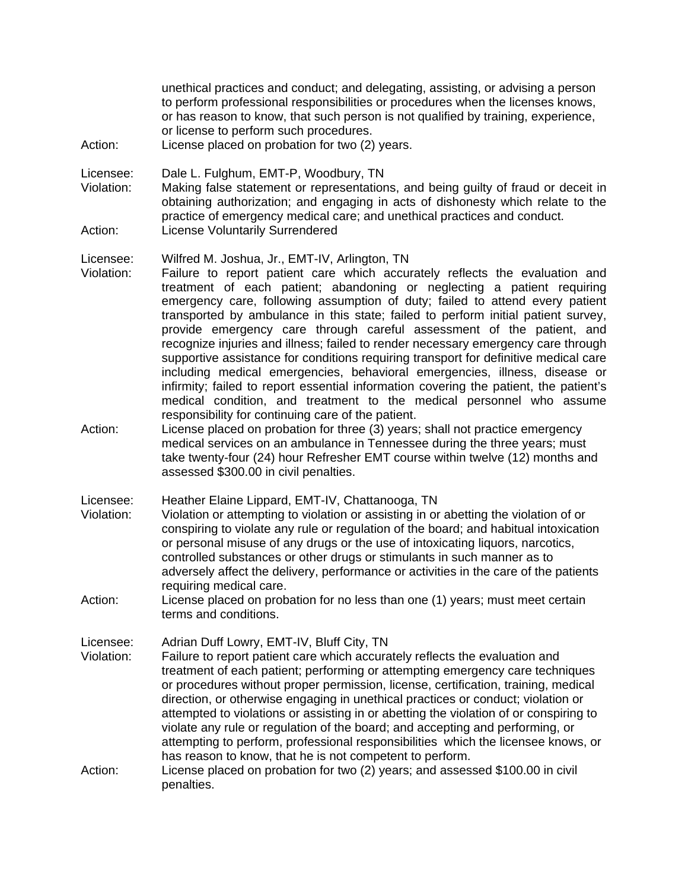unethical practices and conduct; and delegating, assisting, or advising a person to perform professional responsibilities or procedures when the licenses knows, or has reason to know, that such person is not qualified by training, experience, or license to perform such procedures.

Action: License placed on probation for two (2) years.

Licensee: Dale L. Fulghum, EMT-P, Woodbury, TN

Violation: Making false statement or representations, and being guilty of fraud or deceit in obtaining authorization; and engaging in acts of dishonesty which relate to the practice of emergency medical care; and unethical practices and conduct. Action: License Voluntarily Surrendered

#### Licensee: Wilfred M. Joshua, Jr., EMT-IV, Arlington, TN

- Violation: Failure to report patient care which accurately reflects the evaluation and treatment of each patient; abandoning or neglecting a patient requiring emergency care, following assumption of duty; failed to attend every patient transported by ambulance in this state; failed to perform initial patient survey, provide emergency care through careful assessment of the patient, and recognize injuries and illness; failed to render necessary emergency care through supportive assistance for conditions requiring transport for definitive medical care including medical emergencies, behavioral emergencies, illness, disease or infirmity; failed to report essential information covering the patient, the patient's medical condition, and treatment to the medical personnel who assume responsibility for continuing care of the patient.
- Action: License placed on probation for three (3) years; shall not practice emergency medical services on an ambulance in Tennessee during the three years; must take twenty-four (24) hour Refresher EMT course within twelve (12) months and assessed \$300.00 in civil penalties.

Licensee: Heather Elaine Lippard, EMT-IV, Chattanooga, TN

- Violation: Violation or attempting to violation or assisting in or abetting the violation of or conspiring to violate any rule or regulation of the board; and habitual intoxication or personal misuse of any drugs or the use of intoxicating liquors, narcotics, controlled substances or other drugs or stimulants in such manner as to adversely affect the delivery, performance or activities in the care of the patients requiring medical care.
- Action: License placed on probation for no less than one (1) years; must meet certain terms and conditions.

Licensee: Adrian Duff Lowry, EMT-IV, Bluff City, TN

- Violation: Failure to report patient care which accurately reflects the evaluation and treatment of each patient; performing or attempting emergency care techniques or procedures without proper permission, license, certification, training, medical direction, or otherwise engaging in unethical practices or conduct; violation or attempted to violations or assisting in or abetting the violation of or conspiring to violate any rule or regulation of the board; and accepting and performing, or attempting to perform, professional responsibilities which the licensee knows, or has reason to know, that he is not competent to perform.
- Action: License placed on probation for two (2) years; and assessed \$100.00 in civil penalties.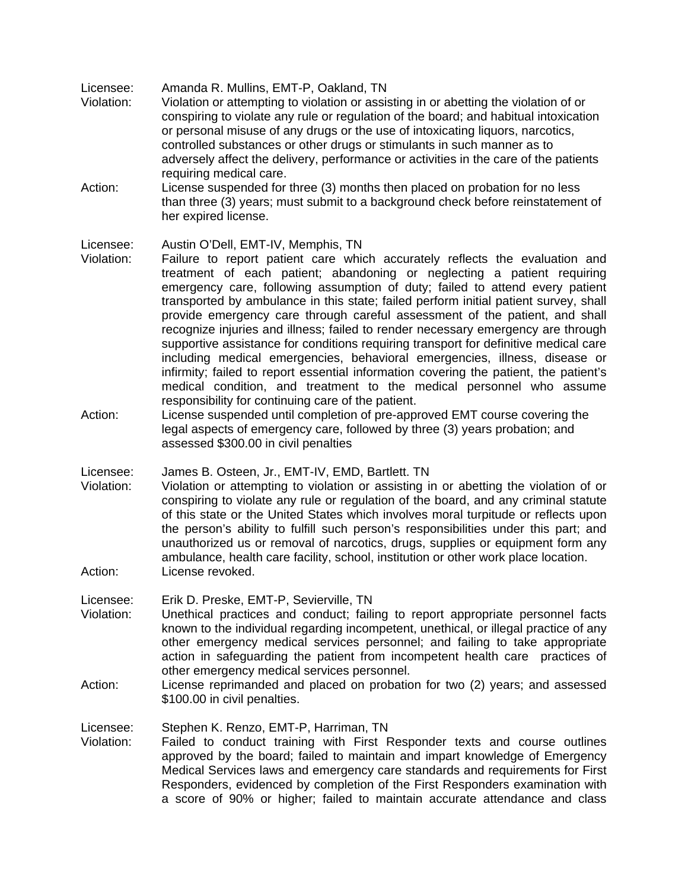Licensee: Amanda R. Mullins, EMT-P, Oakland, TN

- Violation: Violation or attempting to violation or assisting in or abetting the violation of or conspiring to violate any rule or regulation of the board; and habitual intoxication or personal misuse of any drugs or the use of intoxicating liquors, narcotics, controlled substances or other drugs or stimulants in such manner as to adversely affect the delivery, performance or activities in the care of the patients requiring medical care.
- Action: License suspended for three (3) months then placed on probation for no less than three (3) years; must submit to a background check before reinstatement of her expired license.

Licensee: Austin O'Dell, EMT-IV, Memphis, TN

- Violation: Failure to report patient care which accurately reflects the evaluation and treatment of each patient; abandoning or neglecting a patient requiring emergency care, following assumption of duty; failed to attend every patient transported by ambulance in this state; failed perform initial patient survey, shall provide emergency care through careful assessment of the patient, and shall recognize injuries and illness; failed to render necessary emergency are through supportive assistance for conditions requiring transport for definitive medical care including medical emergencies, behavioral emergencies, illness, disease or infirmity; failed to report essential information covering the patient, the patient's medical condition, and treatment to the medical personnel who assume responsibility for continuing care of the patient.
- Action: License suspended until completion of pre-approved EMT course covering the legal aspects of emergency care, followed by three (3) years probation; and assessed \$300.00 in civil penalties

Licensee: James B. Osteen, Jr., EMT-IV, EMD, Bartlett. TN

- Violation: Violation or attempting to violation or assisting in or abetting the violation of or conspiring to violate any rule or regulation of the board, and any criminal statute of this state or the United States which involves moral turpitude or reflects upon the person's ability to fulfill such person's responsibilities under this part; and unauthorized us or removal of narcotics, drugs, supplies or equipment form any ambulance, health care facility, school, institution or other work place location. Action: License revoked.
- 

Licensee: Erik D. Preske, EMT-P, Sevierville, TN

- Violation: Unethical practices and conduct; failing to report appropriate personnel facts known to the individual regarding incompetent, unethical, or illegal practice of any other emergency medical services personnel; and failing to take appropriate action in safeguarding the patient from incompetent health care practices of other emergency medical services personnel.
- Action: License reprimanded and placed on probation for two (2) years; and assessed \$100.00 in civil penalties.

Licensee: Stephen K. Renzo, EMT-P, Harriman, TN

Violation: Failed to conduct training with First Responder texts and course outlines approved by the board; failed to maintain and impart knowledge of Emergency Medical Services laws and emergency care standards and requirements for First Responders, evidenced by completion of the First Responders examination with a score of 90% or higher; failed to maintain accurate attendance and class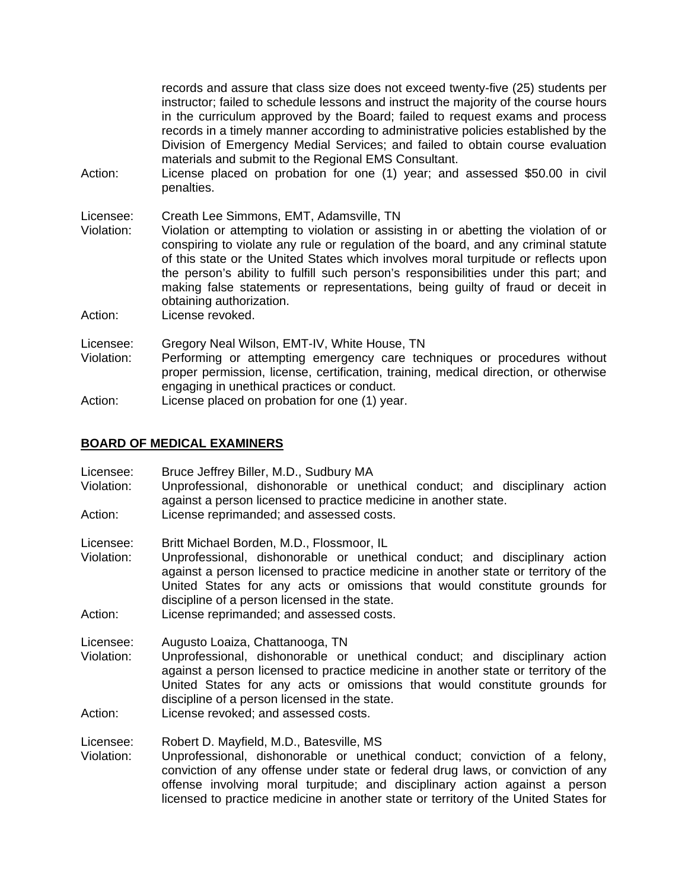records and assure that class size does not exceed twenty-five (25) students per instructor; failed to schedule lessons and instruct the majority of the course hours in the curriculum approved by the Board; failed to request exams and process records in a timely manner according to administrative policies established by the Division of Emergency Medial Services; and failed to obtain course evaluation materials and submit to the Regional EMS Consultant.

- Action: License placed on probation for one (1) year; and assessed \$50.00 in civil penalties.
- Licensee: Creath Lee Simmons, EMT, Adamsville, TN Violation: Violation or attempting to violation or assisting in or abetting the violation of or conspiring to violate any rule or regulation of the board, and any criminal statute of this state or the United States which involves moral turpitude or reflects upon the person's ability to fulfill such person's responsibilities under this part; and making false statements or representations, being guilty of fraud or deceit in obtaining authorization.
- Action: License revoked.
- Licensee: Gregory Neal Wilson, EMT-IV, White House, TN
- Violation: Performing or attempting emergency care techniques or procedures without proper permission, license, certification, training, medical direction, or otherwise engaging in unethical practices or conduct.
- Action: License placed on probation for one (1) year.

#### **BOARD OF MEDICAL EXAMINERS**

- Licensee: Bruce Jeffrey Biller, M.D., Sudbury MA
- Violation: Unprofessional, dishonorable or unethical conduct; and disciplinary action against a person licensed to practice medicine in another state. Action: License reprimanded; and assessed costs.
- 
- Licensee: Britt Michael Borden, M.D., Flossmoor, IL
- Violation: Unprofessional, dishonorable or unethical conduct; and disciplinary action against a person licensed to practice medicine in another state or territory of the United States for any acts or omissions that would constitute grounds for discipline of a person licensed in the state.
- Action: License reprimanded; and assessed costs.
- Licensee: Augusto Loaiza, Chattanooga, TN
- Violation: Unprofessional, dishonorable or unethical conduct; and disciplinary action against a person licensed to practice medicine in another state or territory of the United States for any acts or omissions that would constitute grounds for discipline of a person licensed in the state.
- Action: License revoked; and assessed costs.

#### Licensee: Robert D. Mayfield, M.D., Batesville, MS

Violation: Unprofessional, dishonorable or unethical conduct; conviction of a felony, conviction of any offense under state or federal drug laws, or conviction of any offense involving moral turpitude; and disciplinary action against a person licensed to practice medicine in another state or territory of the United States for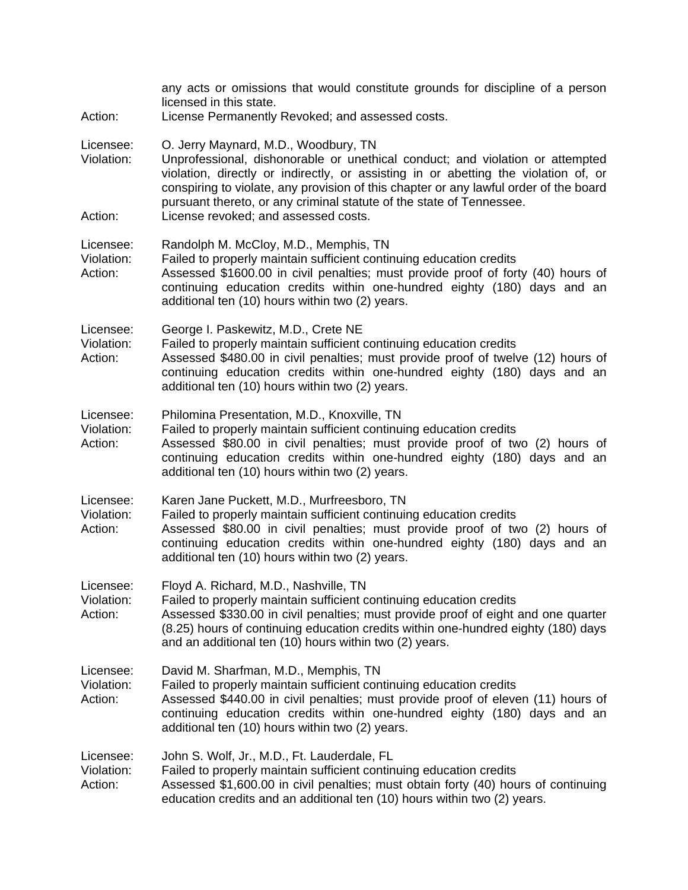| Action:                            | any acts or omissions that would constitute grounds for discipline of a person<br>licensed in this state.<br>License Permanently Revoked; and assessed costs.                                                                                                                                                                                                                                                         |
|------------------------------------|-----------------------------------------------------------------------------------------------------------------------------------------------------------------------------------------------------------------------------------------------------------------------------------------------------------------------------------------------------------------------------------------------------------------------|
| Licensee:<br>Violation:<br>Action: | O. Jerry Maynard, M.D., Woodbury, TN<br>Unprofessional, dishonorable or unethical conduct; and violation or attempted<br>violation, directly or indirectly, or assisting in or abetting the violation of, or<br>conspiring to violate, any provision of this chapter or any lawful order of the board<br>pursuant thereto, or any criminal statute of the state of Tennessee.<br>License revoked; and assessed costs. |
| Licensee:<br>Violation:<br>Action: | Randolph M. McCloy, M.D., Memphis, TN<br>Failed to properly maintain sufficient continuing education credits<br>Assessed \$1600.00 in civil penalties; must provide proof of forty (40) hours of<br>continuing education credits within one-hundred eighty (180) days and an<br>additional ten (10) hours within two (2) years.                                                                                       |
| Licensee:<br>Violation:<br>Action: | George I. Paskewitz, M.D., Crete NE<br>Failed to properly maintain sufficient continuing education credits<br>Assessed \$480.00 in civil penalties; must provide proof of twelve (12) hours of<br>continuing education credits within one-hundred eighty (180) days and an<br>additional ten (10) hours within two (2) years.                                                                                         |
| Licensee:<br>Violation:<br>Action: | Philomina Presentation, M.D., Knoxville, TN<br>Failed to properly maintain sufficient continuing education credits<br>Assessed \$80.00 in civil penalties; must provide proof of two (2) hours of<br>continuing education credits within one-hundred eighty (180) days and an<br>additional ten (10) hours within two (2) years.                                                                                      |
| Licensee:<br>Violation:<br>Action: | Karen Jane Puckett, M.D., Murfreesboro, TN<br>Failed to properly maintain sufficient continuing education credits<br>Assessed \$80.00 in civil penalties; must provide proof of two (2) hours of<br>continuing education credits within one-hundred eighty (180) days and an<br>additional ten (10) hours within two (2) years.                                                                                       |
| Licensee:<br>Violation:<br>Action: | Floyd A. Richard, M.D., Nashville, TN<br>Failed to properly maintain sufficient continuing education credits<br>Assessed \$330.00 in civil penalties; must provide proof of eight and one quarter<br>(8.25) hours of continuing education credits within one-hundred eighty (180) days<br>and an additional ten (10) hours within two (2) years.                                                                      |
| Licensee:<br>Violation:<br>Action: | David M. Sharfman, M.D., Memphis, TN<br>Failed to properly maintain sufficient continuing education credits<br>Assessed \$440.00 in civil penalties; must provide proof of eleven (11) hours of<br>continuing education credits within one-hundred eighty (180) days and an<br>additional ten (10) hours within two (2) years.                                                                                        |
| Licensee:<br>Violation:<br>Action: | John S. Wolf, Jr., M.D., Ft. Lauderdale, FL<br>Failed to properly maintain sufficient continuing education credits<br>Assessed \$1,600.00 in civil penalties; must obtain forty (40) hours of continuing<br>education credits and an additional ten (10) hours within two (2) years.                                                                                                                                  |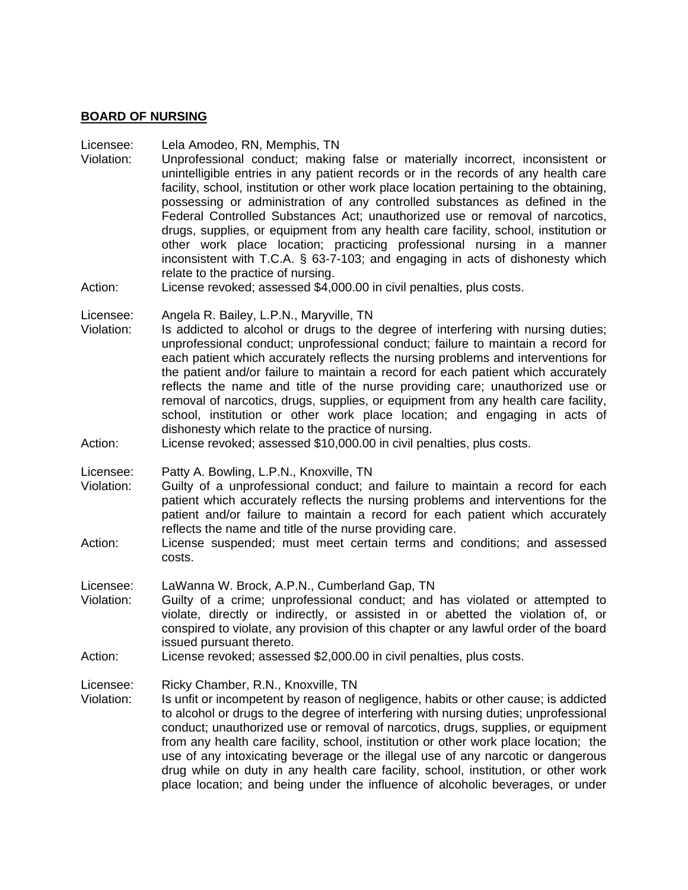#### **BOARD OF NURSING**

#### Licensee: Lela Amodeo, RN, Memphis, TN

- Violation: Unprofessional conduct; making false or materially incorrect, inconsistent or unintelligible entries in any patient records or in the records of any health care facility, school, institution or other work place location pertaining to the obtaining, possessing or administration of any controlled substances as defined in the Federal Controlled Substances Act; unauthorized use or removal of narcotics, drugs, supplies, or equipment from any health care facility, school, institution or other work place location; practicing professional nursing in a manner inconsistent with T.C.A. § 63-7-103; and engaging in acts of dishonesty which relate to the practice of nursing.
- Action: License revoked; assessed \$4,000.00 in civil penalties, plus costs.
- Licensee: Angela R. Bailey, L.P.N., Maryville, TN
- Violation: Is addicted to alcohol or drugs to the degree of interfering with nursing duties; unprofessional conduct; unprofessional conduct; failure to maintain a record for each patient which accurately reflects the nursing problems and interventions for the patient and/or failure to maintain a record for each patient which accurately reflects the name and title of the nurse providing care; unauthorized use or removal of narcotics, drugs, supplies, or equipment from any health care facility, school, institution or other work place location; and engaging in acts of dishonesty which relate to the practice of nursing.
- Action: License revoked; assessed \$10,000.00 in civil penalties, plus costs.

Licensee: Patty A. Bowling, L.P.N., Knoxville, TN

- Violation: Guilty of a unprofessional conduct; and failure to maintain a record for each patient which accurately reflects the nursing problems and interventions for the patient and/or failure to maintain a record for each patient which accurately reflects the name and title of the nurse providing care.
- Action: License suspended; must meet certain terms and conditions; and assessed costs.
- Licensee: LaWanna W. Brock, A.P.N., Cumberland Gap, TN
- Violation: Guilty of a crime; unprofessional conduct; and has violated or attempted to violate, directly or indirectly, or assisted in or abetted the violation of, or conspired to violate, any provision of this chapter or any lawful order of the board issued pursuant thereto.
- Action: License revoked; assessed \$2,000.00 in civil penalties, plus costs.

Licensee: Ricky Chamber, R.N., Knoxville, TN

Violation: Is unfit or incompetent by reason of negligence, habits or other cause; is addicted to alcohol or drugs to the degree of interfering with nursing duties; unprofessional conduct; unauthorized use or removal of narcotics, drugs, supplies, or equipment from any health care facility, school, institution or other work place location; the use of any intoxicating beverage or the illegal use of any narcotic or dangerous drug while on duty in any health care facility, school, institution, or other work place location; and being under the influence of alcoholic beverages, or under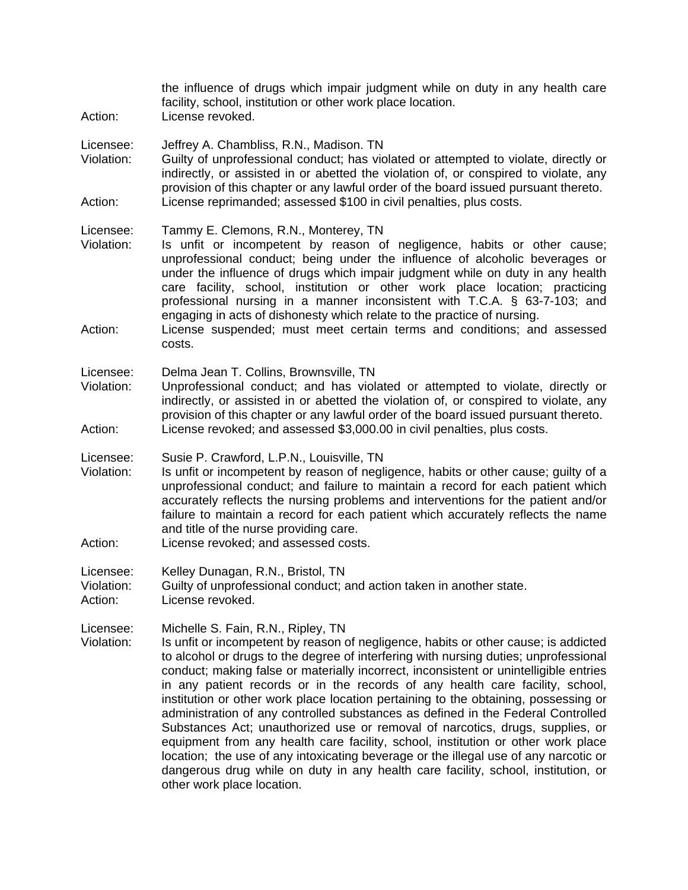| Action:                            | the influence of drugs which impair judgment while on duty in any health care<br>facility, school, institution or other work place location.<br>License revoked.                                                                                                                                                                                                                                                                                                                                                                                                                                                                                                                                                                                                                                                                                                                                                                                       |
|------------------------------------|--------------------------------------------------------------------------------------------------------------------------------------------------------------------------------------------------------------------------------------------------------------------------------------------------------------------------------------------------------------------------------------------------------------------------------------------------------------------------------------------------------------------------------------------------------------------------------------------------------------------------------------------------------------------------------------------------------------------------------------------------------------------------------------------------------------------------------------------------------------------------------------------------------------------------------------------------------|
| Licensee:<br>Violation:<br>Action: | Jeffrey A. Chambliss, R.N., Madison. TN<br>Guilty of unprofessional conduct; has violated or attempted to violate, directly or<br>indirectly, or assisted in or abetted the violation of, or conspired to violate, any<br>provision of this chapter or any lawful order of the board issued pursuant thereto.<br>License reprimanded; assessed \$100 in civil penalties, plus costs.                                                                                                                                                                                                                                                                                                                                                                                                                                                                                                                                                                   |
| Licensee:<br>Violation:<br>Action: | Tammy E. Clemons, R.N., Monterey, TN<br>Is unfit or incompetent by reason of negligence, habits or other cause;<br>unprofessional conduct; being under the influence of alcoholic beverages or<br>under the influence of drugs which impair judgment while on duty in any health<br>care facility, school, institution or other work place location; practicing<br>professional nursing in a manner inconsistent with T.C.A. § 63-7-103; and<br>engaging in acts of dishonesty which relate to the practice of nursing.<br>License suspended; must meet certain terms and conditions; and assessed<br>costs.                                                                                                                                                                                                                                                                                                                                           |
| Licensee:<br>Violation:<br>Action: | Delma Jean T. Collins, Brownsville, TN<br>Unprofessional conduct; and has violated or attempted to violate, directly or<br>indirectly, or assisted in or abetted the violation of, or conspired to violate, any<br>provision of this chapter or any lawful order of the board issued pursuant thereto.<br>License revoked; and assessed \$3,000.00 in civil penalties, plus costs.                                                                                                                                                                                                                                                                                                                                                                                                                                                                                                                                                                     |
| Licensee:<br>Violation:<br>Action: | Susie P. Crawford, L.P.N., Louisville, TN<br>Is unfit or incompetent by reason of negligence, habits or other cause; guilty of a<br>unprofessional conduct; and failure to maintain a record for each patient which<br>accurately reflects the nursing problems and interventions for the patient and/or<br>failure to maintain a record for each patient which accurately reflects the name<br>and title of the nurse providing care.<br>License revoked; and assessed costs.                                                                                                                                                                                                                                                                                                                                                                                                                                                                         |
| Licensee:<br>Violation:<br>Action: | Kelley Dunagan, R.N., Bristol, TN<br>Guilty of unprofessional conduct; and action taken in another state.<br>License revoked.                                                                                                                                                                                                                                                                                                                                                                                                                                                                                                                                                                                                                                                                                                                                                                                                                          |
| Licensee:<br>Violation:            | Michelle S. Fain, R.N., Ripley, TN<br>Is unfit or incompetent by reason of negligence, habits or other cause; is addicted<br>to alcohol or drugs to the degree of interfering with nursing duties; unprofessional<br>conduct; making false or materially incorrect, inconsistent or unintelligible entries<br>in any patient records or in the records of any health care facility, school,<br>institution or other work place location pertaining to the obtaining, possessing or<br>administration of any controlled substances as defined in the Federal Controlled<br>Substances Act; unauthorized use or removal of narcotics, drugs, supplies, or<br>equipment from any health care facility, school, institution or other work place<br>location; the use of any intoxicating beverage or the illegal use of any narcotic or<br>dangerous drug while on duty in any health care facility, school, institution, or<br>other work place location. |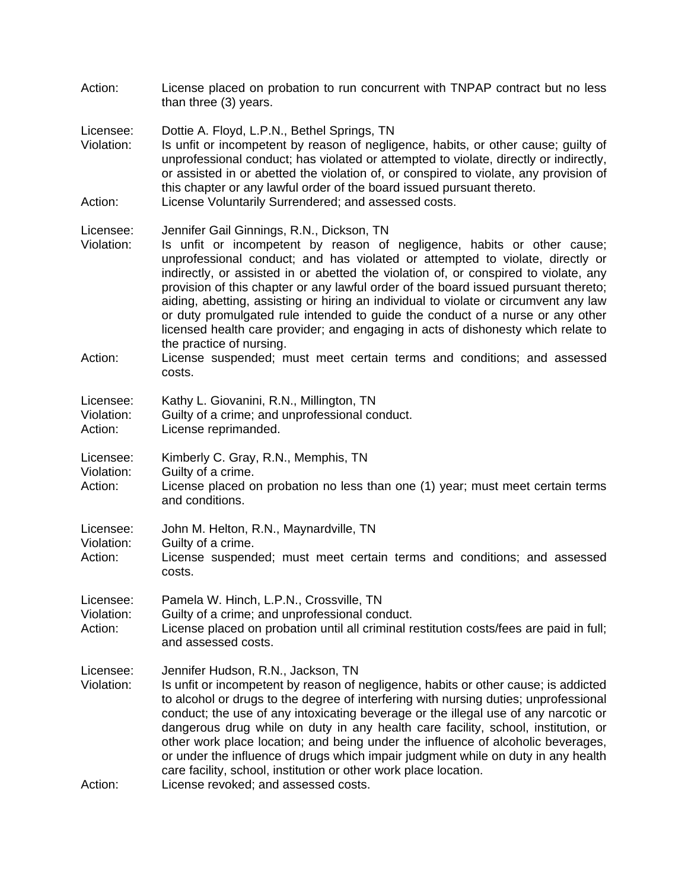| Action:                            | License placed on probation to run concurrent with TNPAP contract but no less<br>than three (3) years.                                                                                                                                                                                                                                                                                                                                                                                                                                                                                                                                                                                                                                                               |
|------------------------------------|----------------------------------------------------------------------------------------------------------------------------------------------------------------------------------------------------------------------------------------------------------------------------------------------------------------------------------------------------------------------------------------------------------------------------------------------------------------------------------------------------------------------------------------------------------------------------------------------------------------------------------------------------------------------------------------------------------------------------------------------------------------------|
| Licensee:<br>Violation:<br>Action: | Dottie A. Floyd, L.P.N., Bethel Springs, TN<br>Is unfit or incompetent by reason of negligence, habits, or other cause; guilty of<br>unprofessional conduct; has violated or attempted to violate, directly or indirectly,<br>or assisted in or abetted the violation of, or conspired to violate, any provision of<br>this chapter or any lawful order of the board issued pursuant thereto.<br>License Voluntarily Surrendered; and assessed costs.                                                                                                                                                                                                                                                                                                                |
| Licensee:<br>Violation:<br>Action: | Jennifer Gail Ginnings, R.N., Dickson, TN<br>Is unfit or incompetent by reason of negligence, habits or other cause;<br>unprofessional conduct; and has violated or attempted to violate, directly or<br>indirectly, or assisted in or abetted the violation of, or conspired to violate, any<br>provision of this chapter or any lawful order of the board issued pursuant thereto;<br>aiding, abetting, assisting or hiring an individual to violate or circumvent any law<br>or duty promulgated rule intended to guide the conduct of a nurse or any other<br>licensed health care provider; and engaging in acts of dishonesty which relate to<br>the practice of nursing.<br>License suspended; must meet certain terms and conditions; and assessed<br>costs. |
| Licensee:<br>Violation:<br>Action: | Kathy L. Giovanini, R.N., Millington, TN<br>Guilty of a crime; and unprofessional conduct.<br>License reprimanded.                                                                                                                                                                                                                                                                                                                                                                                                                                                                                                                                                                                                                                                   |
| Licensee:<br>Violation:<br>Action: | Kimberly C. Gray, R.N., Memphis, TN<br>Guilty of a crime.<br>License placed on probation no less than one (1) year; must meet certain terms<br>and conditions.                                                                                                                                                                                                                                                                                                                                                                                                                                                                                                                                                                                                       |
| Licensee:<br>Violation:<br>Action: | John M. Helton, R.N., Maynardville, TN<br>Guilty of a crime.<br>License suspended; must meet certain terms and conditions; and assessed<br>costs.                                                                                                                                                                                                                                                                                                                                                                                                                                                                                                                                                                                                                    |
| Licensee:<br>Violation:<br>Action: | Pamela W. Hinch, L.P.N., Crossville, TN<br>Guilty of a crime; and unprofessional conduct.<br>License placed on probation until all criminal restitution costs/fees are paid in full;<br>and assessed costs.                                                                                                                                                                                                                                                                                                                                                                                                                                                                                                                                                          |
| Licensee:<br>Violation:<br>Action: | Jennifer Hudson, R.N., Jackson, TN<br>Is unfit or incompetent by reason of negligence, habits or other cause; is addicted<br>to alcohol or drugs to the degree of interfering with nursing duties; unprofessional<br>conduct; the use of any intoxicating beverage or the illegal use of any narcotic or<br>dangerous drug while on duty in any health care facility, school, institution, or<br>other work place location; and being under the influence of alcoholic beverages,<br>or under the influence of drugs which impair judgment while on duty in any health<br>care facility, school, institution or other work place location.<br>License revoked; and assessed costs.                                                                                   |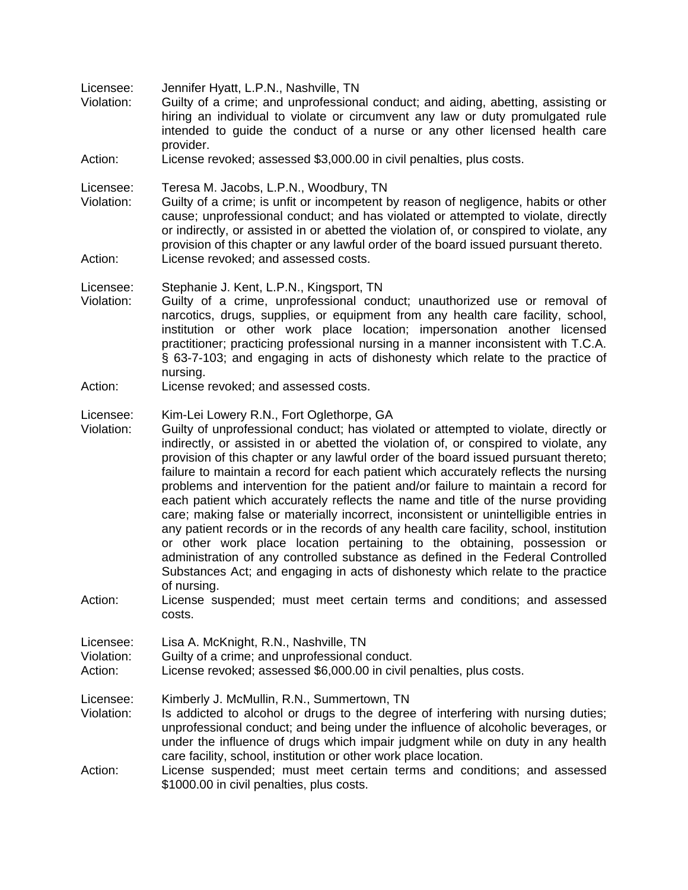Licensee: Jennifer Hyatt, L.P.N., Nashville, TN

- Violation: Guilty of a crime; and unprofessional conduct; and aiding, abetting, assisting or hiring an individual to violate or circumvent any law or duty promulgated rule intended to guide the conduct of a nurse or any other licensed health care provider.
- Action: License revoked; assessed \$3,000.00 in civil penalties, plus costs.

Licensee: Teresa M. Jacobs, L.P.N., Woodbury, TN

Violation: Guilty of a crime; is unfit or incompetent by reason of negligence, habits or other cause; unprofessional conduct; and has violated or attempted to violate, directly or indirectly, or assisted in or abetted the violation of, or conspired to violate, any provision of this chapter or any lawful order of the board issued pursuant thereto. Action: License revoked; and assessed costs.

Licensee: Stephanie J. Kent, L.P.N., Kingsport, TN

- Violation: Guilty of a crime, unprofessional conduct; unauthorized use or removal of narcotics, drugs, supplies, or equipment from any health care facility, school, institution or other work place location; impersonation another licensed practitioner; practicing professional nursing in a manner inconsistent with T.C.A. § 63-7-103; and engaging in acts of dishonesty which relate to the practice of nursing.
- Action: License revoked; and assessed costs.

## Licensee: Kim-Lei Lowery R.N., Fort Oglethorpe, GA

- Violation: Guilty of unprofessional conduct; has violated or attempted to violate, directly or indirectly, or assisted in or abetted the violation of, or conspired to violate, any provision of this chapter or any lawful order of the board issued pursuant thereto; failure to maintain a record for each patient which accurately reflects the nursing problems and intervention for the patient and/or failure to maintain a record for each patient which accurately reflects the name and title of the nurse providing care; making false or materially incorrect, inconsistent or unintelligible entries in any patient records or in the records of any health care facility, school, institution or other work place location pertaining to the obtaining, possession or administration of any controlled substance as defined in the Federal Controlled Substances Act; and engaging in acts of dishonesty which relate to the practice of nursing.
- Action: License suspended; must meet certain terms and conditions; and assessed costs.

Licensee: Lisa A. McKnight, R.N., Nashville, TN

Violation: Guilty of a crime; and unprofessional conduct.

Action: License revoked; assessed \$6,000.00 in civil penalties, plus costs.

Licensee: Kimberly J. McMullin, R.N., Summertown, TN

- Violation: Is addicted to alcohol or drugs to the degree of interfering with nursing duties; unprofessional conduct; and being under the influence of alcoholic beverages, or under the influence of drugs which impair judgment while on duty in any health care facility, school, institution or other work place location.
- Action: License suspended; must meet certain terms and conditions; and assessed \$1000.00 in civil penalties, plus costs.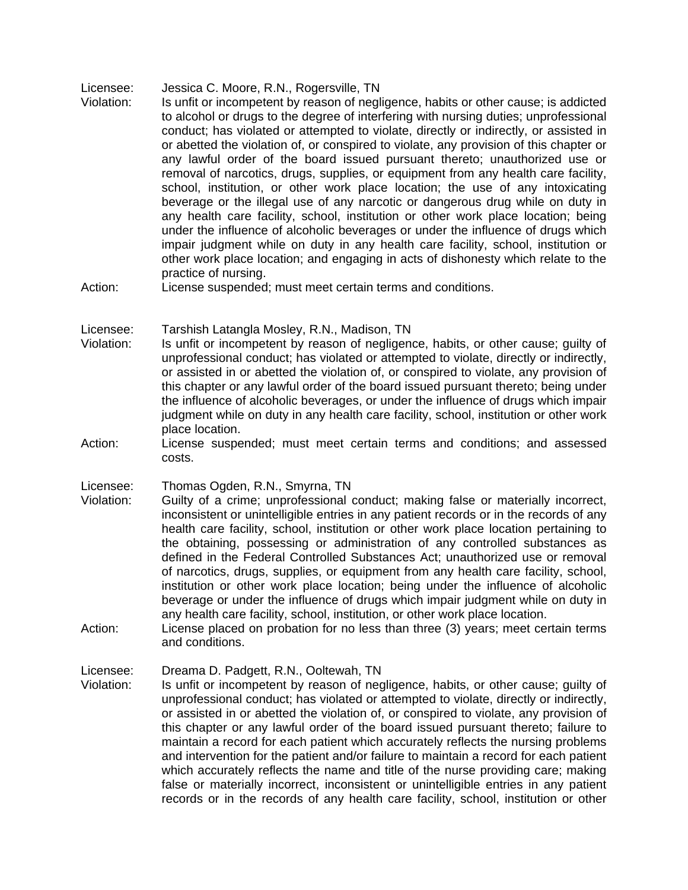- Licensee: Jessica C. Moore, R.N., Rogersville, TN
- Violation: Is unfit or incompetent by reason of negligence, habits or other cause; is addicted to alcohol or drugs to the degree of interfering with nursing duties; unprofessional conduct; has violated or attempted to violate, directly or indirectly, or assisted in or abetted the violation of, or conspired to violate, any provision of this chapter or any lawful order of the board issued pursuant thereto; unauthorized use or removal of narcotics, drugs, supplies, or equipment from any health care facility, school, institution, or other work place location; the use of any intoxicating beverage or the illegal use of any narcotic or dangerous drug while on duty in any health care facility, school, institution or other work place location; being under the influence of alcoholic beverages or under the influence of drugs which impair judgment while on duty in any health care facility, school, institution or other work place location; and engaging in acts of dishonesty which relate to the practice of nursing.
- Action: License suspended; must meet certain terms and conditions.
- Licensee: Tarshish Latangla Mosley, R.N., Madison, TN
- Violation: Is unfit or incompetent by reason of negligence, habits, or other cause; guilty of unprofessional conduct; has violated or attempted to violate, directly or indirectly, or assisted in or abetted the violation of, or conspired to violate, any provision of this chapter or any lawful order of the board issued pursuant thereto; being under the influence of alcoholic beverages, or under the influence of drugs which impair judgment while on duty in any health care facility, school, institution or other work place location.
- Action: License suspended; must meet certain terms and conditions; and assessed costs.

Licensee: Thomas Ogden, R.N., Smyrna, TN

- Violation: Guilty of a crime; unprofessional conduct; making false or materially incorrect, inconsistent or unintelligible entries in any patient records or in the records of any health care facility, school, institution or other work place location pertaining to the obtaining, possessing or administration of any controlled substances as defined in the Federal Controlled Substances Act; unauthorized use or removal of narcotics, drugs, supplies, or equipment from any health care facility, school, institution or other work place location; being under the influence of alcoholic beverage or under the influence of drugs which impair judgment while on duty in any health care facility, school, institution, or other work place location.
- Action: License placed on probation for no less than three (3) years; meet certain terms and conditions.

Licensee: Dreama D. Padgett, R.N., Ooltewah, TN

Violation: Is unfit or incompetent by reason of negligence, habits, or other cause; guilty of unprofessional conduct; has violated or attempted to violate, directly or indirectly, or assisted in or abetted the violation of, or conspired to violate, any provision of this chapter or any lawful order of the board issued pursuant thereto; failure to maintain a record for each patient which accurately reflects the nursing problems and intervention for the patient and/or failure to maintain a record for each patient which accurately reflects the name and title of the nurse providing care; making false or materially incorrect, inconsistent or unintelligible entries in any patient records or in the records of any health care facility, school, institution or other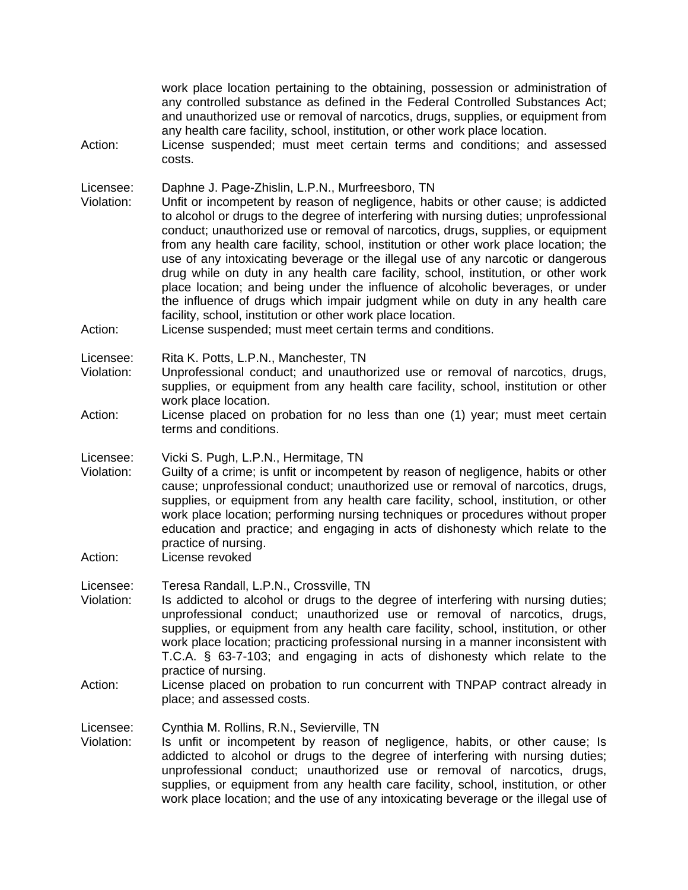| Action:                            | work place location pertaining to the obtaining, possession or administration of<br>any controlled substance as defined in the Federal Controlled Substances Act;<br>and unauthorized use or removal of narcotics, drugs, supplies, or equipment from<br>any health care facility, school, institution, or other work place location.<br>License suspended; must meet certain terms and conditions; and assessed<br>costs.                                                                                                                                                                                                                                                                                                                                                                                                                                                         |
|------------------------------------|------------------------------------------------------------------------------------------------------------------------------------------------------------------------------------------------------------------------------------------------------------------------------------------------------------------------------------------------------------------------------------------------------------------------------------------------------------------------------------------------------------------------------------------------------------------------------------------------------------------------------------------------------------------------------------------------------------------------------------------------------------------------------------------------------------------------------------------------------------------------------------|
| Licensee:<br>Violation:<br>Action: | Daphne J. Page-Zhislin, L.P.N., Murfreesboro, TN<br>Unfit or incompetent by reason of negligence, habits or other cause; is addicted<br>to alcohol or drugs to the degree of interfering with nursing duties; unprofessional<br>conduct; unauthorized use or removal of narcotics, drugs, supplies, or equipment<br>from any health care facility, school, institution or other work place location; the<br>use of any intoxicating beverage or the illegal use of any narcotic or dangerous<br>drug while on duty in any health care facility, school, institution, or other work<br>place location; and being under the influence of alcoholic beverages, or under<br>the influence of drugs which impair judgment while on duty in any health care<br>facility, school, institution or other work place location.<br>License suspended; must meet certain terms and conditions. |
| Licensee:<br>Violation:<br>Action: | Rita K. Potts, L.P.N., Manchester, TN<br>Unprofessional conduct; and unauthorized use or removal of narcotics, drugs,<br>supplies, or equipment from any health care facility, school, institution or other<br>work place location.<br>License placed on probation for no less than one (1) year; must meet certain                                                                                                                                                                                                                                                                                                                                                                                                                                                                                                                                                                |
|                                    | terms and conditions.                                                                                                                                                                                                                                                                                                                                                                                                                                                                                                                                                                                                                                                                                                                                                                                                                                                              |
| Licensee:<br>Violation:<br>Action: | Vicki S. Pugh, L.P.N., Hermitage, TN<br>Guilty of a crime; is unfit or incompetent by reason of negligence, habits or other<br>cause; unprofessional conduct; unauthorized use or removal of narcotics, drugs,<br>supplies, or equipment from any health care facility, school, institution, or other<br>work place location; performing nursing techniques or procedures without proper<br>education and practice; and engaging in acts of dishonesty which relate to the<br>practice of nursing.<br>License revoked                                                                                                                                                                                                                                                                                                                                                              |
| Licensee:<br>Violation:<br>Action: | Teresa Randall, L.P.N., Crossville, TN<br>Is addicted to alcohol or drugs to the degree of interfering with nursing duties;<br>unprofessional conduct; unauthorized use or removal of narcotics, drugs,<br>supplies, or equipment from any health care facility, school, institution, or other<br>work place location; practicing professional nursing in a manner inconsistent with<br>T.C.A. § 63-7-103; and engaging in acts of dishonesty which relate to the<br>practice of nursing.<br>License placed on probation to run concurrent with TNPAP contract already in<br>place; and assessed costs.                                                                                                                                                                                                                                                                            |
| Licensee:<br>Violation:            | Cynthia M. Rollins, R.N., Sevierville, TN<br>Is unfit or incompetent by reason of negligence, habits, or other cause; Is<br>addicted to alcohol or drugs to the degree of interfering with nursing duties;<br>unprofessional conduct; unauthorized use or removal of narcotics, drugs,<br>supplies, or equipment from any health care facility, school, institution, or other<br>work place location; and the use of any intoxicating beverage or the illegal use of                                                                                                                                                                                                                                                                                                                                                                                                               |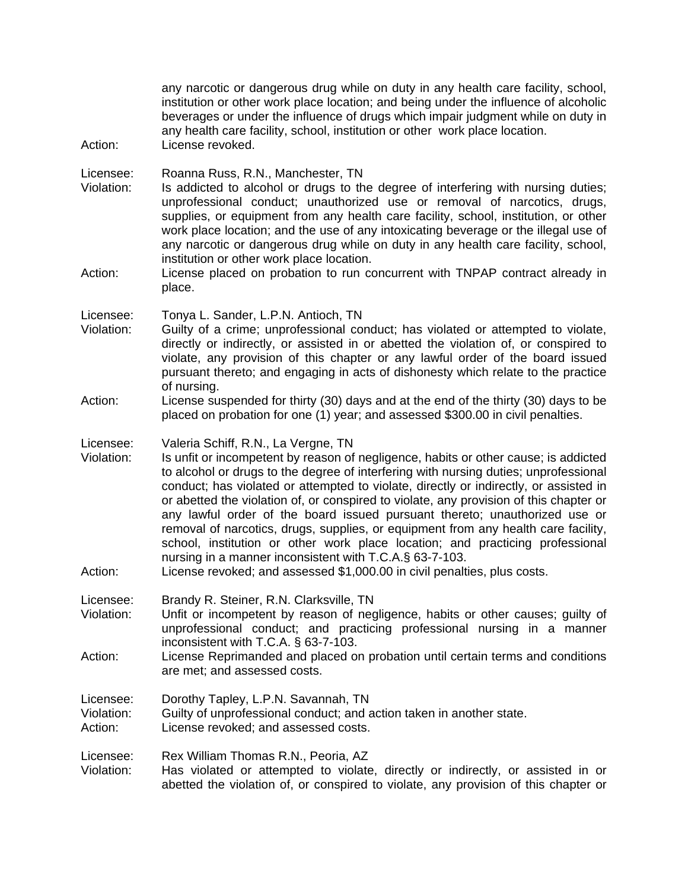any narcotic or dangerous drug while on duty in any health care facility, school, institution or other work place location; and being under the influence of alcoholic beverages or under the influence of drugs which impair judgment while on duty in any health care facility, school, institution or other work place location. Action: License revoked.

Licensee: Roanna Russ, R.N., Manchester, TN

- Violation: Is addicted to alcohol or drugs to the degree of interfering with nursing duties; unprofessional conduct; unauthorized use or removal of narcotics, drugs, supplies, or equipment from any health care facility, school, institution, or other work place location; and the use of any intoxicating beverage or the illegal use of any narcotic or dangerous drug while on duty in any health care facility, school, institution or other work place location.
- Action: License placed on probation to run concurrent with TNPAP contract already in place.

Licensee: Tonya L. Sander, L.P.N. Antioch, TN

- Violation: Guilty of a crime; unprofessional conduct; has violated or attempted to violate, directly or indirectly, or assisted in or abetted the violation of, or conspired to violate, any provision of this chapter or any lawful order of the board issued pursuant thereto; and engaging in acts of dishonesty which relate to the practice of nursing.
- Action: License suspended for thirty (30) days and at the end of the thirty (30) days to be placed on probation for one (1) year; and assessed \$300.00 in civil penalties.

Licensee: Valeria Schiff, R.N., La Vergne, TN

- Violation: Is unfit or incompetent by reason of negligence, habits or other cause; is addicted to alcohol or drugs to the degree of interfering with nursing duties; unprofessional conduct; has violated or attempted to violate, directly or indirectly, or assisted in or abetted the violation of, or conspired to violate, any provision of this chapter or any lawful order of the board issued pursuant thereto; unauthorized use or removal of narcotics, drugs, supplies, or equipment from any health care facility, school, institution or other work place location; and practicing professional nursing in a manner inconsistent with T.C.A.§ 63-7-103.
- Action: License revoked; and assessed \$1,000.00 in civil penalties, plus costs.

Licensee: Brandy R. Steiner, R.N. Clarksville, TN

- Violation: Unfit or incompetent by reason of negligence, habits or other causes; guilty of unprofessional conduct; and practicing professional nursing in a manner inconsistent with T.C.A. § 63-7-103.
- Action: License Reprimanded and placed on probation until certain terms and conditions are met; and assessed costs.

Licensee: Dorothy Tapley, L.P.N. Savannah, TN

Violation: Guilty of unprofessional conduct; and action taken in another state.

Action: License revoked; and assessed costs.

Licensee: Rex William Thomas R.N., Peoria, AZ

Violation: Has violated or attempted to violate, directly or indirectly, or assisted in or abetted the violation of, or conspired to violate, any provision of this chapter or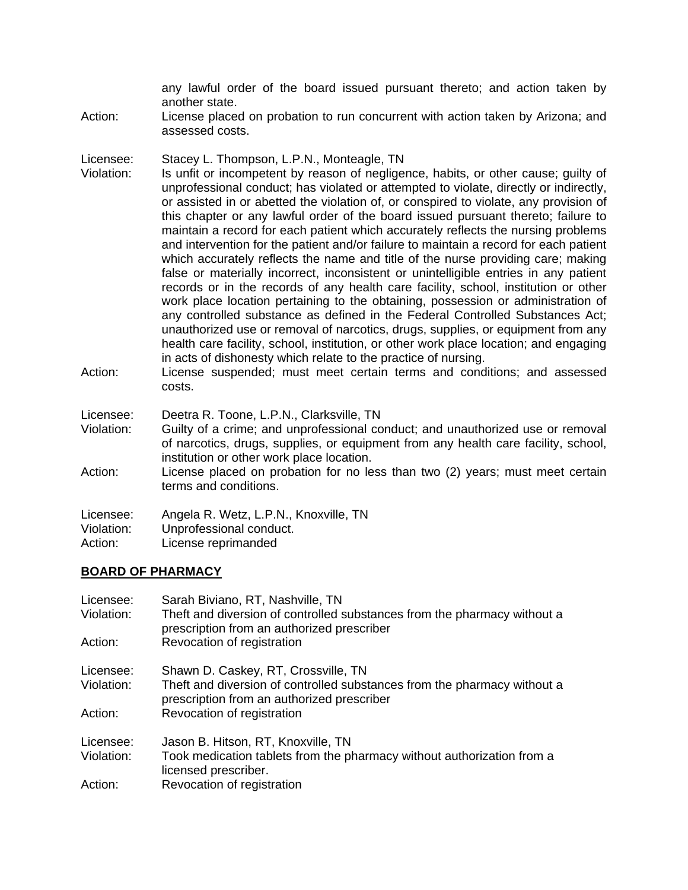any lawful order of the board issued pursuant thereto; and action taken by another state.

Action: License placed on probation to run concurrent with action taken by Arizona; and assessed costs.

Licensee: Stacey L. Thompson, L.P.N., Monteagle, TN

- Violation: Is unfit or incompetent by reason of negligence, habits, or other cause; guilty of unprofessional conduct; has violated or attempted to violate, directly or indirectly, or assisted in or abetted the violation of, or conspired to violate, any provision of this chapter or any lawful order of the board issued pursuant thereto; failure to maintain a record for each patient which accurately reflects the nursing problems and intervention for the patient and/or failure to maintain a record for each patient which accurately reflects the name and title of the nurse providing care; making false or materially incorrect, inconsistent or unintelligible entries in any patient records or in the records of any health care facility, school, institution or other work place location pertaining to the obtaining, possession or administration of any controlled substance as defined in the Federal Controlled Substances Act; unauthorized use or removal of narcotics, drugs, supplies, or equipment from any health care facility, school, institution, or other work place location; and engaging in acts of dishonesty which relate to the practice of nursing.
- Action: License suspended; must meet certain terms and conditions; and assessed costs.

Licensee: Deetra R. Toone, L.P.N., Clarksville, TN

- Violation: Guilty of a crime; and unprofessional conduct; and unauthorized use or removal of narcotics, drugs, supplies, or equipment from any health care facility, school, institution or other work place location.
- Action: License placed on probation for no less than two (2) years; must meet certain terms and conditions.

| Licensee:<br>Angela R. Wetz, L.P.N., Knoxville, TN |  |
|----------------------------------------------------|--|
|----------------------------------------------------|--|

- Violation: Unprofessional conduct.
- Action: License reprimanded

## **BOARD OF PHARMACY**

| Licensee:  | Sarah Biviano, RT, Nashville, TN                                                                                       |
|------------|------------------------------------------------------------------------------------------------------------------------|
| Violation: | Theft and diversion of controlled substances from the pharmacy without a<br>prescription from an authorized prescriber |
| Action:    | Revocation of registration                                                                                             |
| Licensee:  | Shawn D. Caskey, RT, Crossville, TN                                                                                    |
| Violation: | Theft and diversion of controlled substances from the pharmacy without a<br>prescription from an authorized prescriber |
| Action:    | Revocation of registration                                                                                             |
| Licensee:  | Jason B. Hitson, RT, Knoxville, TN                                                                                     |
| Violation: | Took medication tablets from the pharmacy without authorization from a<br>licensed prescriber.                         |
| Action:    | Revocation of registration                                                                                             |
|            |                                                                                                                        |